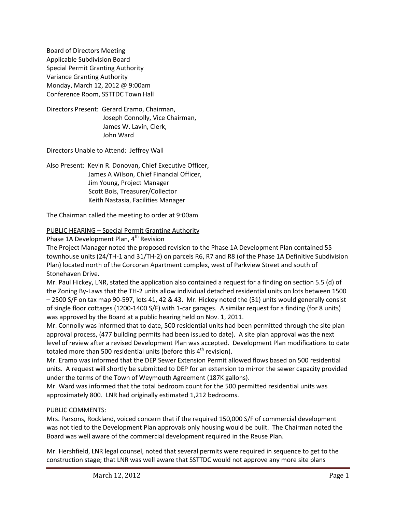Board of Directors Meeting Applicable Subdivision Board Special Permit Granting Authority Variance Granting Authority Monday, March 12, 2012 @ 9:00am Conference Room, SSTTDC Town Hall

Directors Present: Gerard Eramo, Chairman, Joseph Connolly, Vice Chairman, James W. Lavin, Clerk, John Ward

Directors Unable to Attend: Jeffrey Wall

Also Present: Kevin R. Donovan, Chief Executive Officer, James A Wilson, Chief Financial Officer, Jim Young, Project Manager Scott Bois, Treasurer/Collector Keith Nastasia, Facilities Manager

The Chairman called the meeting to order at 9:00am

PUBLIC HEARING – Special Permit Granting Authority

Phase 1A Development Plan, 4<sup>th</sup> Revision

The Project Manager noted the proposed revision to the Phase 1A Development Plan contained 55 townhouse units (24/TH-1 and 31/TH-2) on parcels R6, R7 and R8 (of the Phase 1A Definitive Subdivision Plan) located north of the Corcoran Apartment complex, west of Parkview Street and south of Stonehaven Drive.

Mr. Paul Hickey, LNR, stated the application also contained a request for a finding on section 5.5 (d) of the Zoning By-Laws that the TH-2 units allow individual detached residential units on lots between 1500 – 2500 S/F on tax map 90-597, lots 41, 42 & 43. Mr. Hickey noted the (31) units would generally consist of single floor cottages (1200-1400 S/F) with 1-car garages. A similar request for a finding (for 8 units) was approved by the Board at a public hearing held on Nov. 1, 2011.

Mr. Connolly was informed that to date, 500 residential units had been permitted through the site plan approval process, (477 building permits had been issued to date). A site plan approval was the next level of review after a revised Development Plan was accepted. Development Plan modifications to date totaled more than 500 residential units (before this  $4<sup>th</sup>$  revision).

Mr. Eramo was informed that the DEP Sewer Extension Permit allowed flows based on 500 residential units. A request will shortly be submitted to DEP for an extension to mirror the sewer capacity provided under the terms of the Town of Weymouth Agreement (187K gallons).

Mr. Ward was informed that the total bedroom count for the 500 permitted residential units was approximately 800. LNR had originally estimated 1,212 bedrooms.

# PUBLIC COMMENTS:

Mrs. Parsons, Rockland, voiced concern that if the required 150,000 S/F of commercial development was not tied to the Development Plan approvals only housing would be built. The Chairman noted the Board was well aware of the commercial development required in the Reuse Plan.

Mr. Hershfield, LNR legal counsel, noted that several permits were required in sequence to get to the construction stage; that LNR was well aware that SSTTDC would not approve any more site plans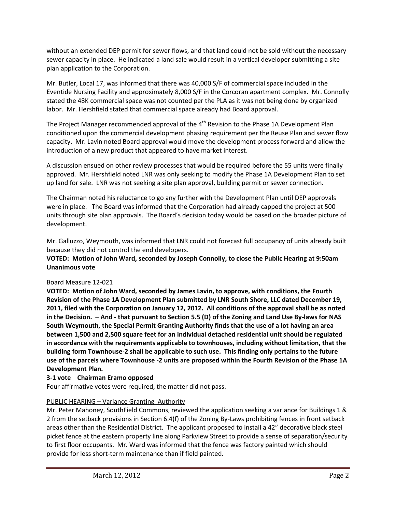without an extended DEP permit for sewer flows, and that land could not be sold without the necessary sewer capacity in place. He indicated a land sale would result in a vertical developer submitting a site plan application to the Corporation.

Mr. Butler, Local 17, was informed that there was 40,000 S/F of commercial space included in the Eventide Nursing Facility and approximately 8,000 S/F in the Corcoran apartment complex. Mr. Connolly stated the 48K commercial space was not counted per the PLA as it was not being done by organized labor. Mr. Hershfield stated that commercial space already had Board approval.

The Project Manager recommended approval of the 4<sup>th</sup> Revision to the Phase 1A Development Plan conditioned upon the commercial development phasing requirement per the Reuse Plan and sewer flow capacity. Mr. Lavin noted Board approval would move the development process forward and allow the introduction of a new product that appeared to have market interest.

A discussion ensued on other review processes that would be required before the 55 units were finally approved. Mr. Hershfield noted LNR was only seeking to modify the Phase 1A Development Plan to set up land for sale. LNR was not seeking a site plan approval, building permit or sewer connection.

The Chairman noted his reluctance to go any further with the Development Plan until DEP approvals were in place. The Board was informed that the Corporation had already capped the project at 500 units through site plan approvals. The Board's decision today would be based on the broader picture of development.

Mr. Galluzzo, Weymouth, was informed that LNR could not forecast full occupancy of units already built because they did not control the end developers.

**VOTED: Motion of John Ward, seconded by Joseph Connolly, to close the Public Hearing at 9:50am Unanimous vote**

# Board Measure 12-021

**VOTED: Motion of John Ward, seconded by James Lavin, to approve, with conditions, the Fourth Revision of the Phase 1A Development Plan submitted by LNR South Shore, LLC dated December 19, 2011, filed with the Corporation on January 12, 2012. All conditions of the approval shall be as noted in the Decision. – And - that pursuant to Section 5.5 (D) of the Zoning and Land Use By-laws for NAS South Weymouth, the Special Permit Granting Authority finds that the use of a lot having an area between 1,500 and 2,500 square feet for an individual detached residential unit should be regulated in accordance with the requirements applicable to townhouses, including without limitation, that the building form Townhouse-2 shall be applicable to such use. This finding only pertains to the future use of the parcels where Townhouse -2 units are proposed within the Fourth Revision of the Phase 1A Development Plan.**

# **3-1 vote Chairman Eramo opposed**

Four affirmative votes were required, the matter did not pass.

# PUBLIC HEARING – Variance Granting Authority

Mr. Peter Mahoney, SouthField Commons, reviewed the application seeking a variance for Buildings 1 & 2 from the setback provisions in Section 6.4(f) of the Zoning By-Laws prohibiting fences in front setback areas other than the Residential District. The applicant proposed to install a 42" decorative black steel picket fence at the eastern property line along Parkview Street to provide a sense of separation/security to first floor occupants. Mr. Ward was informed that the fence was factory painted which should provide for less short-term maintenance than if field painted.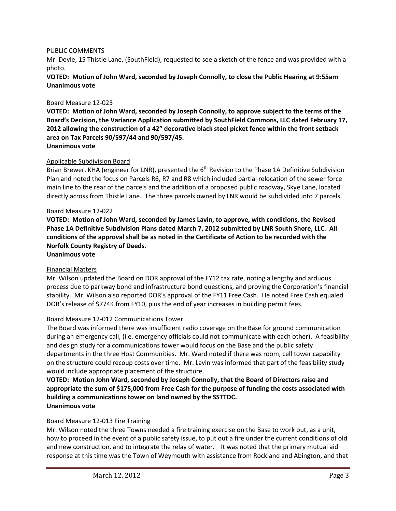### PUBLIC COMMENTS

Mr. Doyle, 15 Thistle Lane, (SouthField), requested to see a sketch of the fence and was provided with a photo.

**VOTED: Motion of John Ward, seconded by Joseph Connolly, to close the Public Hearing at 9:55am Unanimous vote**

### Board Measure 12-023

**VOTED: Motion of John Ward, seconded by Joseph Connolly, to approve subject to the terms of the Board's Decision, the Variance Application submitted by SouthField Commons, LLC dated February 17, 2012 allowing the construction of a 42" decorative black steel picket fence within the front setback area on Tax Parcels 90/597/44 and 90/597/45. Unanimous vote**

### Applicable Subdivision Board

Brian Brewer, KHA (engineer for LNR), presented the 6<sup>th</sup> Revision to the Phase 1A Definitive Subdivision Plan and noted the focus on Parcels R6, R7 and R8 which included partial relocation of the sewer force main line to the rear of the parcels and the addition of a proposed public roadway, Skye Lane, located directly across from Thistle Lane. The three parcels owned by LNR would be subdivided into 7 parcels.

### Board Measure 12-022

**VOTED: Motion of John Ward, seconded by James Lavin, to approve, with conditions, the Revised Phase 1A Definitive Subdivision Plans dated March 7, 2012 submitted by LNR South Shore, LLC. All conditions of the approval shall be as noted in the Certificate of Action to be recorded with the Norfolk County Registry of Deeds.**

#### **Unanimous vote**

### Financial Matters

Mr. Wilson updated the Board on DOR approval of the FY12 tax rate, noting a lengthy and arduous process due to parkway bond and infrastructure bond questions, and proving the Corporation's financial stability. Mr. Wilson also reported DOR's approval of the FY11 Free Cash. He noted Free Cash equaled DOR's release of \$774K from FY10, plus the end of year increases in building permit fees.

### Board Measure 12-012 Communications Tower

The Board was informed there was insufficient radio coverage on the Base for ground communication during an emergency call, (i.e. emergency officials could not communicate with each other). A feasibility and design study for a communications tower would focus on the Base and the public safety departments in the three Host Communities. Mr. Ward noted if there was room, cell tower capability on the structure could recoup costs over time. Mr. Lavin was informed that part of the feasibility study would include appropriate placement of the structure.

**VOTED: Motion John Ward, seconded by Joseph Connolly, that the Board of Directors raise and appropriate the sum of \$175,000 from Free Cash for the purpose of funding the costs associated with building a communications tower on land owned by the SSTTDC. Unanimous vote**

### Board Measure 12-013 Fire Training

Mr. Wilson noted the three Towns needed a fire training exercise on the Base to work out, as a unit, how to proceed in the event of a public safety issue, to put out a fire under the current conditions of old and new construction, and to integrate the relay of water. It was noted that the primary mutual aid response at this time was the Town of Weymouth with assistance from Rockland and Abington, and that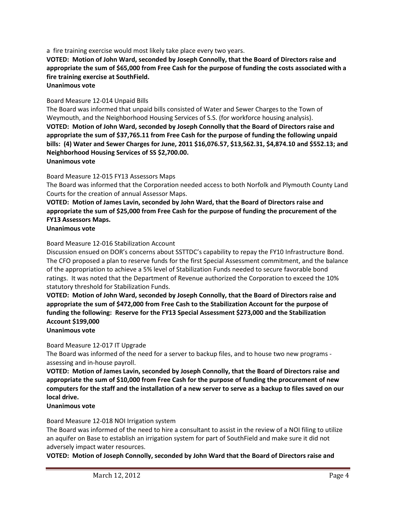a fire training exercise would most likely take place every two years.

**VOTED: Motion of John Ward, seconded by Joseph Connolly, that the Board of Directors raise and appropriate the sum of \$65,000 from Free Cash for the purpose of funding the costs associated with a fire training exercise at SouthField.**

**Unanimous vote**

# Board Measure 12-014 Unpaid Bills

The Board was informed that unpaid bills consisted of Water and Sewer Charges to the Town of Weymouth, and the Neighborhood Housing Services of S.S. (for workforce housing analysis). **VOTED: Motion of John Ward, seconded by Joseph Connolly that the Board of Directors raise and appropriate the sum of \$37,765.11 from Free Cash for the purpose of funding the following unpaid bills: (4) Water and Sewer Charges for June, 2011 \$16,076.57, \$13,562.31, \$4,874.10 and \$552.13; and Neighborhood Housing Services of SS \$2,700.00. Unanimous vote**

Board Measure 12-015 FY13 Assessors Maps

The Board was informed that the Corporation needed access to both Norfolk and Plymouth County Land Courts for the creation of annual Assessor Maps.

# **VOTED: Motion of James Lavin, seconded by John Ward, that the Board of Directors raise and appropriate the sum of \$25,000 from Free Cash for the purpose of funding the procurement of the FY13 Assessors Maps.**

**Unanimous vote**

Board Measure 12-016 Stabilization Account

Discussion ensued on DOR's concerns about SSTTDC's capability to repay the FY10 Infrastructure Bond. The CFO proposed a plan to reserve funds for the first Special Assessment commitment, and the balance of the appropriation to achieve a 5% level of Stabilization Funds needed to secure favorable bond ratings. It was noted that the Department of Revenue authorized the Corporation to exceed the 10% statutory threshold for Stabilization Funds.

**VOTED: Motion of John Ward, seconded by Joseph Connolly, that the Board of Directors raise and appropriate the sum of \$472,000 from Free Cash to the Stabilization Account for the purpose of funding the following: Reserve for the FY13 Special Assessment \$273,000 and the Stabilization Account \$199,000**

**Unanimous vote**

Board Measure 12-017 IT Upgrade

The Board was informed of the need for a server to backup files, and to house two new programs assessing and in-house payroll.

**VOTED: Motion of James Lavin, seconded by Joseph Connolly, that the Board of Directors raise and appropriate the sum of \$10,000 from Free Cash for the purpose of funding the procurement of new computers for the staff and the installation of a new server to serve as a backup to files saved on our local drive.**

### **Unanimous vote**

Board Measure 12-018 NOI Irrigation system

The Board was informed of the need to hire a consultant to assist in the review of a NOI filing to utilize an aquifer on Base to establish an irrigation system for part of SouthField and make sure it did not adversely impact water resources.

**VOTED: Motion of Joseph Connolly, seconded by John Ward that the Board of Directors raise and**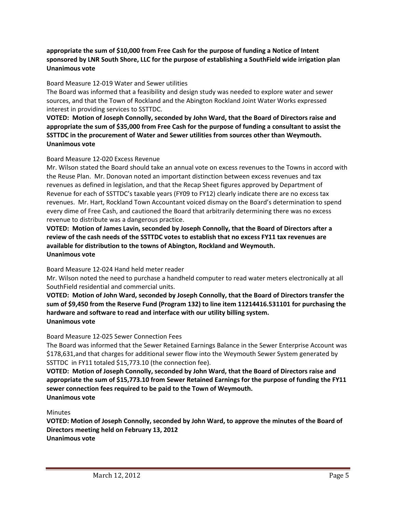# **appropriate the sum of \$10,000 from Free Cash for the purpose of funding a Notice of Intent sponsored by LNR South Shore, LLC for the purpose of establishing a SouthField wide irrigation plan Unanimous vote**

### Board Measure 12-019 Water and Sewer utilities

The Board was informed that a feasibility and design study was needed to explore water and sewer sources, and that the Town of Rockland and the Abington Rockland Joint Water Works expressed interest in providing services to SSTTDC.

**VOTED: Motion of Joseph Connolly, seconded by John Ward, that the Board of Directors raise and appropriate the sum of \$35,000 from Free Cash for the purpose of funding a consultant to assist the SSTTDC in the procurement of Water and Sewer utilities from sources other than Weymouth. Unanimous vote**

# Board Measure 12-020 Excess Revenue

Mr. Wilson stated the Board should take an annual vote on excess revenues to the Towns in accord with the Reuse Plan. Mr. Donovan noted an important distinction between excess revenues and tax revenues as defined in legislation, and that the Recap Sheet figures approved by Department of Revenue for each of SSTTDC's taxable years (FY09 to FY12) clearly indicate there are no excess tax revenues. Mr. Hart, Rockland Town Accountant voiced dismay on the Board's determination to spend every dime of Free Cash, and cautioned the Board that arbitrarily determining there was no excess revenue to distribute was a dangerous practice.

**VOTED: Motion of James Lavin, seconded by Joseph Connolly, that the Board of Directors after a review of the cash needs of the SSTTDC votes to establish that no excess FY11 tax revenues are available for distribution to the towns of Abington, Rockland and Weymouth. Unanimous vote**

### Board Measure 12-024 Hand held meter reader

Mr. Wilson noted the need to purchase a handheld computer to read water meters electronically at all SouthField residential and commercial units.

**VOTED: Motion of John Ward, seconded by Joseph Connolly, that the Board of Directors transfer the sum of \$9,450 from the Reserve Fund (Program 132) to line item 11214416.531101 for purchasing the hardware and software to read and interface with our utility billing system. Unanimous vote**

# Board Measure 12-025 Sewer Connection Fees

The Board was informed that the Sewer Retained Earnings Balance in the Sewer Enterprise Account was \$178,631,and that charges for additional sewer flow into the Weymouth Sewer System generated by SSTTDC in FY11 totaled \$15,773.10 (the connection fee).

**VOTED: Motion of Joseph Connolly, seconded by John Ward, that the Board of Directors raise and appropriate the sum of \$15,773.10 from Sewer Retained Earnings for the purpose of funding the FY11 sewer connection fees required to be paid to the Town of Weymouth. Unanimous vote**

### Minutes

**VOTED: Motion of Joseph Connolly, seconded by John Ward, to approve the minutes of the Board of Directors meeting held on February 13, 2012 Unanimous vote**